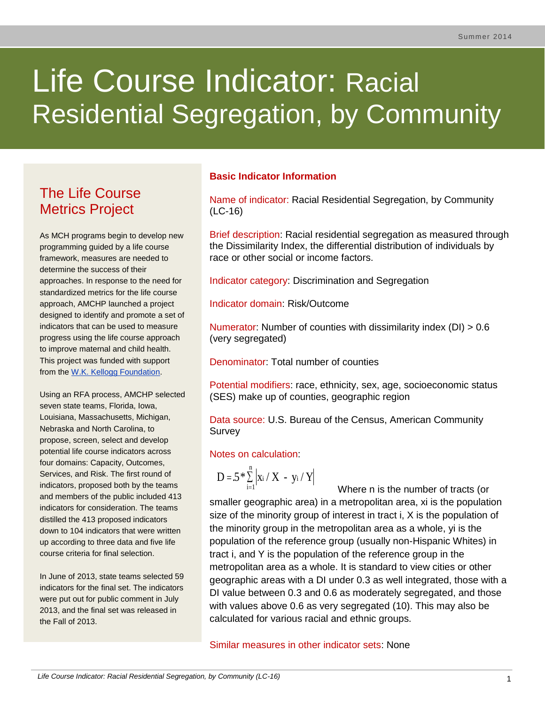# Life Course Indicator: Racial Residential Segregation, by Community

# The Life Course Metrics Project

As MCH programs begin to develop new programming guided by a life course framework, measures are needed to determine the success of their approaches. In response to the need for standardized metrics for the life course approach, AMCHP launched a project designed to identify and promote a set of indicators that can be used to measure progress using the life course approach to improve maternal and child health. This project was funded with support from the [W.K. Kellogg Foundation.](http://www.wkkf.org/)

Using an RFA process, AMCHP selected seven state teams, Florida, Iowa, Louisiana, Massachusetts, Michigan, Nebraska and North Carolina, to propose, screen, select and develop potential life course indicators across four domains: Capacity, Outcomes, Services, and Risk. The first round of indicators, proposed both by the teams and members of the public included 413 indicators for consideration. The teams distilled the 413 proposed indicators down to 104 indicators that were written up according to three data and five life course criteria for final selection.

In June of 2013, state teams selected 59 indicators for the final set. The indicators were put out for public comment in July 2013, and the final set was released in the Fall of 2013.

# **Basic Indicator Information**

Name of indicator: Racial Residential Segregation, by Community (LC-16)

Brief description: Racial residential segregation as measured through the Dissimilarity Index, the differential distribution of individuals by race or other social or income factors.

Indicator category: Discrimination and Segregation

Indicator domain: Risk/Outcome

Numerator: Number of counties with dissimilarity index (DI) > 0.6 (very segregated)

Denominator: Total number of counties

Potential modifiers: race, ethnicity, sex, age, socioeconomic status (SES) make up of counties, geographic region

Data source: U.S. Bureau of the Census, American Community Survey

# Notes on calculation:

$$
D = 5 * \sum_{i=1}^{n} \left| x_i / X - y_i / Y \right|
$$

 Where n is the number of tracts (or smaller geographic area) in a metropolitan area, xi is the population size of the minority group of interest in tract i, X is the population of the minority group in the metropolitan area as a whole, yi is the population of the reference group (usually non-Hispanic Whites) in tract i, and Y is the population of the reference group in the metropolitan area as a whole. It is standard to view cities or other geographic areas with a DI under 0.3 as well integrated, those with a DI value between 0.3 and 0.6 as moderately segregated, and those with values above 0.6 as very segregated [\(10\)](#page-6-0). This may also be calculated for various racial and ethnic groups. i=1  $=$ 

Similar measures in other indicator sets: None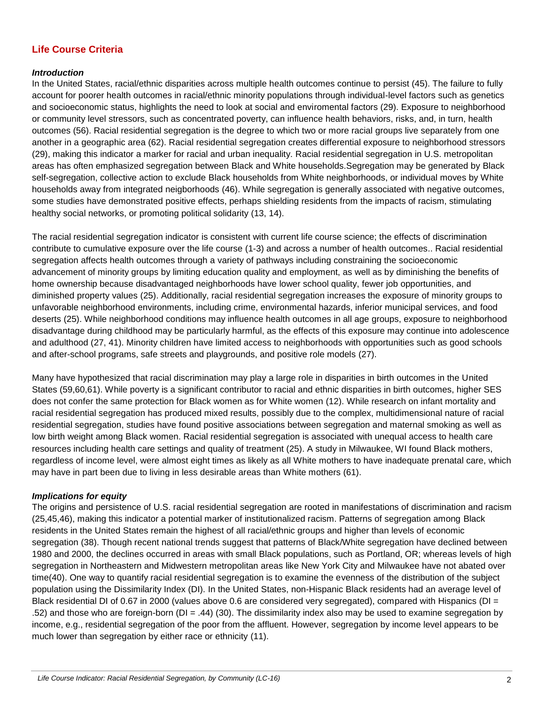# **Life Course Criteria**

#### *Introduction*

In the United States, racial/ethnic disparities across multiple health outcomes continue to persist (45). The failure to fully account for poorer health outcomes in racial/ethnic minority populations through individual-level factors such as genetics and socioeconomic status, highlights the need to look at social and enviromental factors (29). Exposure to neighborhood or community level stressors, such as concentrated poverty, can influence health behaviors, risks, and, in turn, health outcomes (56). Racial residential segregation is the degree to which two or more racial groups live separately from one another in a geographic area (62). Racial residential segregation creates differential exposure to neighborhood stressors (29), making this indicator a marker for racial and urban inequality. Racial residential segregation in U.S. metropolitan areas has often emphasized segregation between Black and White households.Segregation may be generated by Black self-segregation, collective action to exclude Black households from White neighborhoods, or individual moves by White households away from integrated neigborhoods [\(46\)](#page-6-1). While segregation is generally associated with negative outcomes, some studies have demonstrated positive effects, perhaps shielding residents from the impacts of racism, stimulating healthy social networks, or promoting political solidarity [\(13,](#page-6-2) [14\)](#page-6-3).

The racial residential segregation indicator is consistent with current life course science; the effects of discrimination contribute to cumulative exposure over the life course [\(1-3\)](#page-6-4) and across a number of health outcomes.. Racial residential segregation affects health outcomes through a variety of pathways including constraining the socioeconomic advancement of minority groups by limiting education quality and employment, as well as by diminishing the benefits of home ownership because disadvantaged neighborhoods have lower school quality, fewer job opportunities, and diminished property values [\(25\)](#page-7-0). Additionally, racial residential segregation increases the exposure of minority groups to unfavorable neighborhood environments, including crime, environmental hazards, inferior municipal services, and food deserts (25). While neighborhood conditions may influence health outcomes in all age groups, exposure to neighborhood disadvantage during childhood may be particularly harmful, as the effects of this exposure may continue into adolescence and adulthood [\(27,](#page-7-1) 41). Minority children have limited access to neighborhoods with opportunities such as good schools and after-school programs, safe streets and playgrounds, and positive role models [\(27\)](#page-7-1).

Many have hypothesized that racial discrimination may play a large role in disparities in birth outcomes in the United States (59,60,61). While poverty is a significant contributor to racial and ethnic disparities in birth outcomes, higher SES does not confer the same protection for Black women as for White women [\(12\)](#page-6-5). While research on infant mortality and racial residential segregation has produced mixed results, possibly due to the complex, multidimensional nature of racial residential segregation, studies have found positive associations between segregation and maternal smoking as well as low birth weight among Black women. Racial residential segregation is associated with unequal access to health care resources including health care settings and quality of treatment [\(25\)](#page-7-0). A study in Milwaukee, WI found Black mothers, regardless of income level, were almost eight times as likely as all White mothers to have inadequate prenatal care, which may have in part been due to living in less desirable areas than White mothers (61).

#### *Implications for equity*

The origins and persistence of U.S. racial residential segregation are rooted in manifestations of discrimination and racism (25,45,46), making this indicator a potential marker of institutionalized racism. Patterns of segregation among Black residents in the United States remain the highest of all racial/ethnic groups and higher than levels of economic segregation [\(38\)](#page-7-2). Though recent national trends suggest that patterns of Black/White segregation have declined between 1980 and 2000, the declines occurred in areas with small Black populations, such as Portland, OR; whereas levels of high segregation in Northeastern and Midwestern metropolitan areas like New York City and Milwaukee have not abated over time[\(40\)](#page-7-3). One way to quantify racial residential segregation is to examine the evenness of the distribution of the subject population using the Dissimilarity Index (DI). In the United States, non-Hispanic Black residents had an average level of Black residential DI of 0.67 in 2000 (values above 0.6 are considered very segregated), compared with Hispanics (DI = .52) and those who are foreign-born (DI = .44) [\(30\)](#page-7-4). The dissimilarity index also may be used to examine segregation by income, e.g., residential segregation of the poor from the affluent. However, segregation by income level appears to be much lower than segregation by either race or ethnicity [\(11\)](#page-6-1).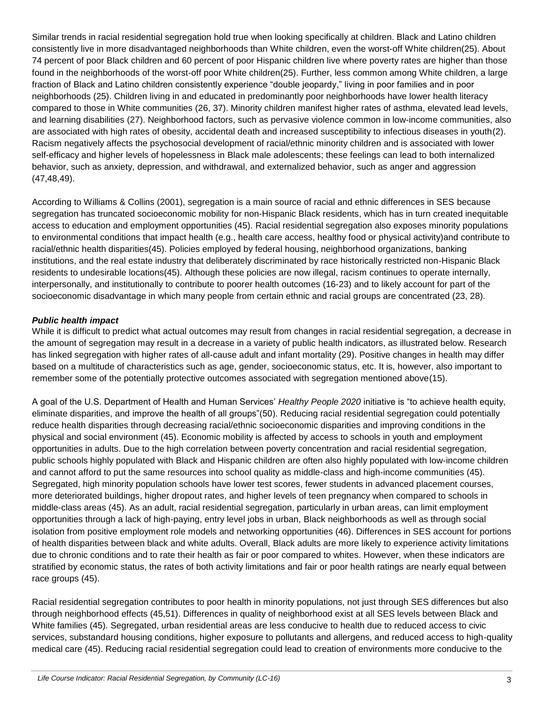Similar trends in racial residential segregation hold true when looking specifically at children. Black and Latino children consistently live in more disadvantaged neighborhoods than White children, even the worst-off White children[\(25\)](#page-7-0). About 74 percent of poor Black children and 60 percent of poor Hispanic children live where poverty rates are higher than those found in the neighborhoods of the worst-off poor White children[\(25\)](#page-7-0). Further, less common among White children, a large fraction of Black and Latino children consistently experience "double jeopardy," living in poor families and in poor neighborhoods [\(25\)](#page-7-0). Children living in and educated in predominantly poor neighborhoods have lower health literacy compared to those in White communities [\(26,](#page-7-5) 37). Minority children manifest higher rates of asthma, elevated lead levels, and learning disabilities [\(27\)](#page-7-1). Neighborhood factors, such as pervasive violence common in low-income communities, also are associated with high rates of obesity, accidental death and increased susceptibility to infectious diseases in youth[\(2\)](#page-6-6). Racism negatively affects the psychosocial development of racial/ethnic minority children and is associated with lower self-efficacy and higher levels of hopelessness in Black male adolescents; these feelings can lead to both internalized behavior, such as anxiety, depression, and withdrawal, and externalized behavior, such as anger and aggression (47,48,49).

According to Williams & Collins (2001), segregation is a main source of racial and ethnic differences in SES because segregation has truncated socioeconomic mobility for non-Hispanic Black residents, which has in turn created inequitable access to education and employment opportunities (45). Racial residential segregation also exposes minority populations to environmental conditions that impact health (e.g., health care access, healthy food or physical activity)and contribute to racial/ethnic health disparities(45). Policies employed by federal housing, neighborhood organizations, banking institutions, and the real estate industry that deliberately discriminated by race historically restricted non-Hispanic Black residents to undesirable locations(45). Although these policies are now illegal, racism continues to operate internally, interpersonally, and institutionally to contribute to poorer health outcomes [\(16-23\)](#page-6-7) and to likely account for part of the socioeconomic disadvantage in which many people from certain ethnic and racial groups are concentrated (23, 28).

#### *Public health impact*

While it is difficult to predict what actual outcomes may result from changes in racial residential segregation, a decrease in the amount of segregation may result in a decrease in a variety of public health indicators, as illustrated below. Research has linked segregation with higher rates of all-cause adult and infant mortality (29). Positive changes in health may differ based on a multitude of characteristics such as age, gender, socioeconomic status, etc. It is, however, also important to remember some of the potentially protective outcomes associated with segregation mentioned above[\(15\)](#page-6-8).

A goal of the U.S. Department of Health and Human Services' *Healthy People 2020* initiative is "to achieve health equity, eliminate disparities, and improve the health of all groups"(50). Reducing racial residential segregation could potentially reduce health disparities through decreasing racial/ethnic socioeconomic disparities and improving conditions in the physical and social environment (45). Economic mobility is affected by access to schools in youth and employment opportunities in adults. Due to the high correlation between poverty concentration and racial residential segregation, public schools highly populated with Black and Hispanic children are often also highly populated with low-income children and cannot afford to put the same resources into school quality as middle-class and high-income communities (45). Segregated, high minority population schools have lower test scores, fewer students in advanced placement courses, more deteriorated buildings, higher dropout rates, and higher levels of teen pregnancy when compared to schools in middle-class areas (45). As an adult, racial residential segregation, particularly in urban areas, can limit employment opportunities through a lack of high-paying, entry level jobs in urban, Black neighborhoods as well as through social isolation from positive employment role models and networking opportunities (46). Differences in SES account for portions of health disparities between black and white adults. Overall, Black adults are more likely to experience activity limitations due to chronic conditions and to rate their health as fair or poor compared to whites. However, when these indicators are stratified by economic status, the rates of both activity limitations and fair or poor health ratings are nearly equal between race groups (45).

Racial residential segregation contributes to poor health in minority populations, not just through SES differences but also through neighborhood effects (45,51). Differences in quality of neighborhood exist at all SES levels between Black and White families (45). Segregated, urban residential areas are less conducive to health due to reduced access to civic services, substandard housing conditions, higher exposure to pollutants and allergens, and reduced access to high-quality medical care (45). Reducing racial residential segregation could lead to creation of environments more conducive to the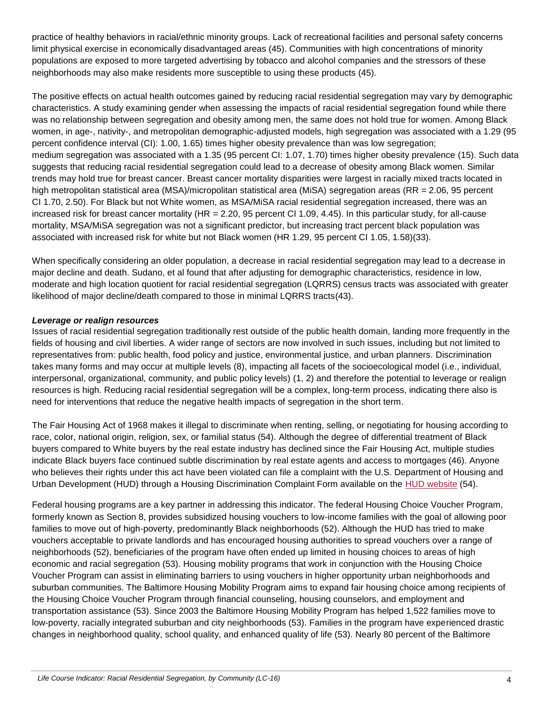practice of healthy behaviors in racial/ethnic minority groups. Lack of recreational facilities and personal safety concerns limit physical exercise in economically disadvantaged areas (45). Communities with high concentrations of minority populations are exposed to more targeted advertising by tobacco and alcohol companies and the stressors of these neighborhoods may also make residents more susceptible to using these products (45).

The positive effects on actual health outcomes gained by reducing racial residential segregation may vary by demographic characteristics. A study examining gender when assessing the impacts of racial residential segregation found while there was no relationship between segregation and obesity among men, the same does not hold true for women. Among Black women, in age-, nativity-, and metropolitan demographic-adjusted models, high segregation was associated with a 1.29 (95 percent confidence interval (CI): 1.00, 1.65) times higher obesity prevalence than was low segregation; medium segregation was associated with a 1.35 (95 percent CI: 1.07, 1.70) times higher obesity prevalence [\(15\)](#page-6-8). Such data suggests that reducing racial residential segregation could lead to a decrease of obesity among Black women. Similar trends may hold true for breast cancer. Breast cancer mortality disparities were largest in racially mixed tracts located in high metropolitan statistical area (MSA)/micropolitan statistical area (MiSA) segregation areas (RR = 2.06, 95 percent CI 1.70, 2.50). For Black but not White women, as MSA/MiSA racial residential segregation increased, there was an increased risk for breast cancer mortality (HR = 2.20, 95 percent CI 1.09, 4.45). In this particular study, for all-cause mortality, MSA/MiSA segregation was not a significant predictor, but increasing tract percent black population was associated with increased risk for white but not Black women (HR 1.29, 95 percent CI 1.05, 1.58)[\(33\)](#page-7-6).

When specifically considering an older population, a decrease in racial residential segregation may lead to a decrease in major decline and death. Sudano, et al found that after adjusting for demographic characteristics, residence in low, moderate and high location quotient for racial residential segregation (LQRRS) census tracts was associated with greater likelihood of major decline/death compared to those in minimal LQRRS tracts[\(43\)](#page-8-0).

#### *Leverage or realign resources*

Issues of racial residential segregation traditionally rest outside of the public health domain, landing more frequently in the fields of housing and civil liberties. A wider range of sectors are now involved in such issues, including but not limited to representatives from: public health, food policy and justice, environmental justice, and urban planners. Discrimination takes many forms and may occur at multiple levels [\(8\)](#page-6-9), impacting all facets of the socioecological model (i.e., individual, interpersonal, organizational, community, and public policy levels) [\(1,](#page-6-4) [2\)](#page-6-6) and therefore the potential to leverage or realign resources is high. Reducing racial residential segregation will be a complex, long-term process, indicating there also is need for interventions that reduce the negative health impacts of segregation in the short term.

The Fair Housing Act of 1968 makes it illegal to discriminate when renting, selling, or negotiating for housing according to race, color, national origin, religion, sex, or familial status (54). Although the degree of differential treatment of Black buyers compared to White buyers by the real estate industry has declined since the Fair Housing Act, multiple studies indicate Black buyers face continued subtle discrimination by real estate agents and access to mortgages (46). Anyone who believes their rights under this act have been violated can file a complaint with the U.S. Department of Housing and Urban Development (HUD) through a Housing Discrimination Complaint Form available on the [HUD website](http://portal.hud.gov/hudportal/HUD?src=/topics/housing_discrimination) (54).

Federal housing programs are a key partner in addressing this indicator. The federal Housing Choice Voucher Program, formerly known as Section 8, provides subsidized housing vouchers to low-income families with the goal of allowing poor families to move out of high-poverty, predominantly Black neighborhoods (52). Although the HUD has tried to make vouchers acceptable to private landlords and has encouraged housing authorities to spread vouchers over a range of neighborhoods (52), beneficiaries of the program have often ended up limited in housing choices to areas of high economic and racial segregation (53). Housing mobility programs that work in conjunction with the Housing Choice Voucher Program can assist in eliminating barriers to using vouchers in higher opportunity urban neighborhoods and suburban communities. The Baltimore Housing Mobility Program aims to expand fair housing choice among recipients of the Housing Choice Voucher Program through financial counseling, housing counselors, and employment and transportation assistance (53). Since 2003 the Baltimore Housing Mobility Program has helped 1,522 families move to low-poverty, racially integrated suburban and city neighborhoods (53). Families in the program have experienced drastic changes in neighborhood quality, school quality, and enhanced quality of life (53). Nearly 80 percent of the Baltimore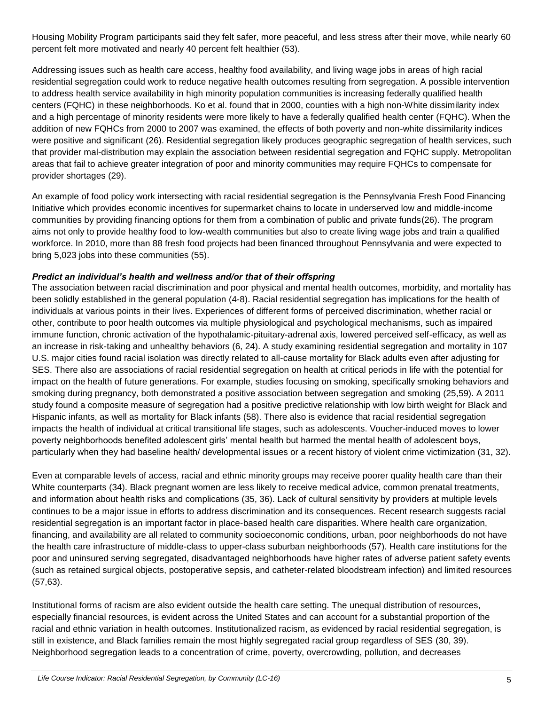Housing Mobility Program participants said they felt safer, more peaceful, and less stress after their move, while nearly 60 percent felt more motivated and nearly 40 percent felt healthier (53).

Addressing issues such as health care access, healthy food availability, and living wage jobs in areas of high racial residential segregation could work to reduce negative health outcomes resulting from segregation. A possible intervention to address health service availability in high minority population communities is increasing federally qualified health centers (FQHC) in these neighborhoods. Ko et al. found that in 2000, counties with a high non-White dissimilarity index and a high percentage of minority residents were more likely to have a federally qualified health center (FQHC). When the addition of new FQHCs from 2000 to 2007 was examined, the effects of both poverty and non-white dissimilarity indices were positive and significant [\(26\)](#page-7-5). Residential segregation likely produces geographic segregation of health services, such that provider mal-distribution may explain the association between residential segregation and FQHC supply. Metropolitan areas that fail to achieve greater integration of poor and minority communities may require FQHCs to compensate for provider shortages [\(29\)](#page-7-7).

An example of food policy work intersecting with racial residential segregation is the Pennsylvania Fresh Food Financing Initiative which provides economic incentives for supermarket chains to locate in underserved low and middle-income communities by providing financing options for them from a combination of public and private funds[\(26\)](#page-7-5). The program aims not only to provide healthy food to low-wealth communities but also to create living wage jobs and train a qualified workforce. In 2010, more than 88 fresh food projects had been financed throughout Pennsylvania and were expected to bring 5,023 jobs into these communities (55).

#### *Predict an individual's health and wellness and/or that of their offspring*

The association between racial discrimination and poor physical and mental health outcomes, morbidity, and mortality has been solidly established in the general population [\(4-8\)](#page-6-10). Racial residential segregation has implications for the health of individuals at various points in their lives. Experiences of different forms of perceived discrimination, whether racial or other, contribute to poor health outcomes via multiple physiological and psychological mechanisms, such as impaired immune function, chronic activation of the hypothalamic-pituitary-adrenal axis, lowered perceived self-efficacy, as well as an increase in risk-taking and unhealthy behaviors [\(6,](#page-6-11) [24\)](#page-7-8). A study examining residential segregation and mortality in 107 U.S. major cities found racial isolation was directly related to all-cause mortality for Black adults even after adjusting for SES. There also are associations of racial residential segregation on health at critical periods in life with the potential for impact on the health of future generations. For example, studies focusing on smoking, specifically smoking behaviors and smoking during pregnancy, both demonstrated a positive association between segregation and smoking (25,59). A 2011 study found a composite measure of segregation had a positive predictive relationship with low birth weight for Black and Hispanic infants, as well as mortality for Black infants (58). There also is evidence that racial residential segregation impacts the health of individual at critical transitional life stages, such as adolescents. Voucher-induced moves to lower poverty neighborhoods benefited adolescent girls' mental health but harmed the mental health of adolescent boys, particularly when they had baseline health/ developmental issues or a recent history of violent crime victimization [\(31,](#page-7-9) [32\)](#page-7-10).

Even at comparable levels of access, racial and ethnic minority groups may receive poorer quality health care than their White counterparts [\(34\)](#page-7-11). Black pregnant women are less likely to receive medical advice, common prenatal treatments, and information about health risks and complications [\(35,](#page-7-12) [36\)](#page-7-13). Lack of cultural sensitivity by providers at multiple levels continues to be a major issue in efforts to address discrimination and its consequences. Recent research suggests racial residential segregation is an important factor in place-based health care disparities. Where health care organization, financing, and availability are all related to community socioeconomic conditions, urban, poor neighborhoods do not have the health care infrastructure of middle-class to upper-class suburban neighborhoods (57). Health care institutions for the poor and uninsured serving segregated, disadvantaged neighborhoods have higher rates of adverse patient safety events (such as retained surgical objects, postoperative sepsis, and catheter-related bloodstream infection) and limited resources (57,63).

Institutional forms of racism are also evident outside the health care setting. The unequal distribution of resources, especially financial resources, is evident across the United States and can account for a substantial proportion of the racial and ethnic variation in health outcomes. Institutionalized racism, as evidenced by racial residential segregation, is still in existence, and Black families remain the most highly segregated racial group regardless of SES [\(30,](#page-7-4) [39\)](#page-7-14). Neighborhood segregation leads to a concentration of crime, poverty, overcrowding, pollution, and decreases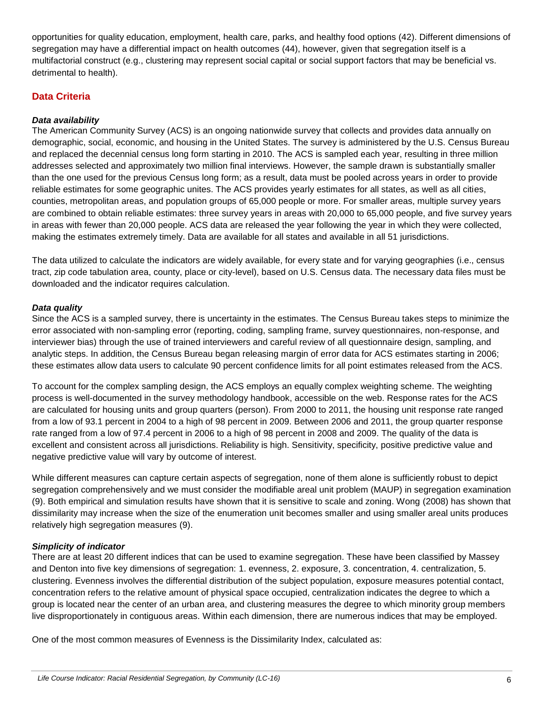opportunities for quality education, employment, health care, parks, and healthy food options [\(42\)](#page-8-1). Different dimensions of segregation may have a differential impact on health outcomes [\(44\)](#page-8-2), however, given that segregation itself is a multifactorial construct (e.g., clustering may represent social capital or social support factors that may be beneficial vs. detrimental to health).

# **Data Criteria**

#### *Data availability*

The American Community Survey (ACS) is an ongoing nationwide survey that collects and provides data annually on demographic, social, economic, and housing in the United States. The survey is administered by the U.S. Census Bureau and replaced the decennial census long form starting in 2010. The ACS is sampled each year, resulting in three million addresses selected and approximately two million final interviews. However, the sample drawn is substantially smaller than the one used for the previous Census long form; as a result, data must be pooled across years in order to provide reliable estimates for some geographic unites. The ACS provides yearly estimates for all states, as well as all cities, counties, metropolitan areas, and population groups of 65,000 people or more. For smaller areas, multiple survey years are combined to obtain reliable estimates: three survey years in areas with 20,000 to 65,000 people, and five survey years in areas with fewer than 20,000 people. ACS data are released the year following the year in which they were collected, making the estimates extremely timely. Data are available for all states and available in all 51 jurisdictions.

The data utilized to calculate the indicators are widely available, for every state and for varying geographies (i.e., census tract, zip code tabulation area, county, place or city-level), based on U.S. Census data. The necessary data files must be downloaded and the indicator requires calculation.

#### *Data quality*

Since the ACS is a sampled survey, there is uncertainty in the estimates. The Census Bureau takes steps to minimize the error associated with non-sampling error (reporting, coding, sampling frame, survey questionnaires, non-response, and interviewer bias) through the use of trained interviewers and careful review of all questionnaire design, sampling, and analytic steps. In addition, the Census Bureau began releasing margin of error data for ACS estimates starting in 2006; these estimates allow data users to calculate 90 percent confidence limits for all point estimates released from the ACS.

To account for the complex sampling design, the ACS employs an equally complex weighting scheme. The weighting process is well-documented in the survey methodology handbook, accessible on the web. Response rates for the ACS are calculated for housing units and group quarters (person). From 2000 to 2011, the housing unit response rate ranged from a low of 93.1 percent in 2004 to a high of 98 percent in 2009. Between 2006 and 2011, the group quarter response rate ranged from a low of 97.4 percent in 2006 to a high of 98 percent in 2008 and 2009. The quality of the data is excellent and consistent across all jurisdictions. Reliability is high. Sensitivity, specificity, positive predictive value and negative predictive value will vary by outcome of interest.

While different measures can capture certain aspects of segregation, none of them alone is sufficiently robust to depict segregation comprehensively and we must consider the modifiable areal unit problem (MAUP) in segregation examination [\(9\)](#page-6-12). Both empirical and simulation results have shown that it is sensitive to scale and zoning. Wong (2008) has shown that dissimilarity may increase when the size of the enumeration unit becomes smaller and using smaller areal units produces relatively high segregation measures (9).

#### *Simplicity of indicator*

There are at least 20 different indices that can be used to examine segregation. These have been classified by Massey and Denton into five key dimensions of segregation: 1. evenness, 2. exposure, 3. concentration, 4. centralization, 5. clustering. Evenness involves the differential distribution of the subject population, exposure measures potential contact, concentration refers to the relative amount of physical space occupied, centralization indicates the degree to which a group is located near the center of an urban area, and clustering measures the degree to which minority group members live disproportionately in contiguous areas. Within each dimension, there are numerous indices that may be employed.

One of the most common measures of Evenness is the Dissimilarity Index, calculated as: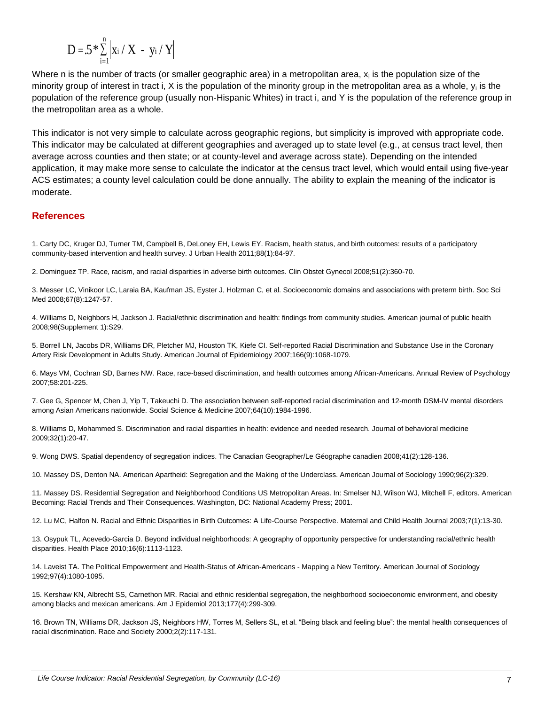$$
D = 5 * \sum_{i=1}^n \left| x_i \mathbin{/} X \ - \ y_i \mathbin{/} Y \right|
$$

Where n is the number of tracts (or smaller geographic area) in a metropolitan area,  $x_i$  is the population size of the minority group of interest in tract i, X is the population of the minority group in the metropolitan area as a whole, y<sub>i</sub> is the population of the reference group (usually non-Hispanic Whites) in tract i, and Y is the population of the reference group in the metropolitan area as a whole.

This indicator is not very simple to calculate across geographic regions, but simplicity is improved with appropriate code. This indicator may be calculated at different geographies and averaged up to state level (e.g., at census tract level, then average across counties and then state; or at county-level and average across state). Depending on the intended application, it may make more sense to calculate the indicator at the census tract level, which would entail using five-year ACS estimates; a county level calculation could be done annually. The ability to explain the meaning of the indicator is moderate.

#### <span id="page-6-4"></span>**References**

1. Carty DC, Kruger DJ, Turner TM, Campbell B, DeLoney EH, Lewis EY. Racism, health status, and birth outcomes: results of a participatory community-based intervention and health survey. J Urban Health 2011;88(1):84-97.

<span id="page-6-6"></span>2. Dominguez TP. Race, racism, and racial disparities in adverse birth outcomes. Clin Obstet Gynecol 2008;51(2):360-70.

3. Messer LC, Vinikoor LC, Laraia BA, Kaufman JS, Eyster J, Holzman C, et al. Socioeconomic domains and associations with preterm birth. Soc Sci Med 2008;67(8):1247-57.

<span id="page-6-10"></span>4. Williams D, Neighbors H, Jackson J. Racial/ethnic discrimination and health: findings from community studies. American journal of public health 2008;98(Supplement 1):S29.

5. Borrell LN, Jacobs DR, Williams DR, Pletcher MJ, Houston TK, Kiefe CI. Self-reported Racial Discrimination and Substance Use in the Coronary Artery Risk Development in Adults Study. American Journal of Epidemiology 2007;166(9):1068-1079.

<span id="page-6-11"></span>6. Mays VM, Cochran SD, Barnes NW. Race, race-based discrimination, and health outcomes among African-Americans. Annual Review of Psychology 2007;58:201-225.

7. Gee G, Spencer M, Chen J, Yip T, Takeuchi D. The association between self-reported racial discrimination and 12-month DSM-IV mental disorders among Asian Americans nationwide. Social Science & Medicine 2007;64(10):1984-1996.

<span id="page-6-9"></span>8. Williams D, Mohammed S. Discrimination and racial disparities in health: evidence and needed research. Journal of behavioral medicine 2009;32(1):20-47.

<span id="page-6-12"></span>9. Wong DWS. Spatial dependency of segregation indices. The Canadian Geographer/Le Géographe canadien 2008;41(2):128-136.

<span id="page-6-0"></span>10. Massey DS, Denton NA. American Apartheid: Segregation and the Making of the Underclass. American Journal of Sociology 1990;96(2):329.

<span id="page-6-1"></span>11. Massey DS. Residential Segregation and Neighborhood Conditions US Metropolitan Areas. In: Smelser NJ, Wilson WJ, Mitchell F, editors. American Becoming: Racial Trends and Their Consequences. Washington, DC: National Academy Press; 2001.

<span id="page-6-5"></span>12. Lu MC, Halfon N. Racial and Ethnic Disparities in Birth Outcomes: A Life-Course Perspective. Maternal and Child Health Journal 2003;7(1):13-30.

<span id="page-6-2"></span>13. Osypuk TL, Acevedo-Garcia D. Beyond individual neighborhoods: A geography of opportunity perspective for understanding racial/ethnic health disparities. Health Place 2010;16(6):1113-1123.

<span id="page-6-3"></span>14. Laveist TA. The Political Empowerment and Health-Status of African-Americans - Mapping a New Territory. American Journal of Sociology 1992;97(4):1080-1095.

<span id="page-6-8"></span>15. Kershaw KN, Albrecht SS, Carnethon MR. Racial and ethnic residential segregation, the neighborhood socioeconomic environment, and obesity among blacks and mexican americans. Am J Epidemiol 2013;177(4):299-309.

<span id="page-6-7"></span>16. Brown TN, Williams DR, Jackson JS, Neighbors HW, Torres M, Sellers SL, et al. "Being black and feeling blue": the mental health consequences of racial discrimination. Race and Society 2000;2(2):117-131.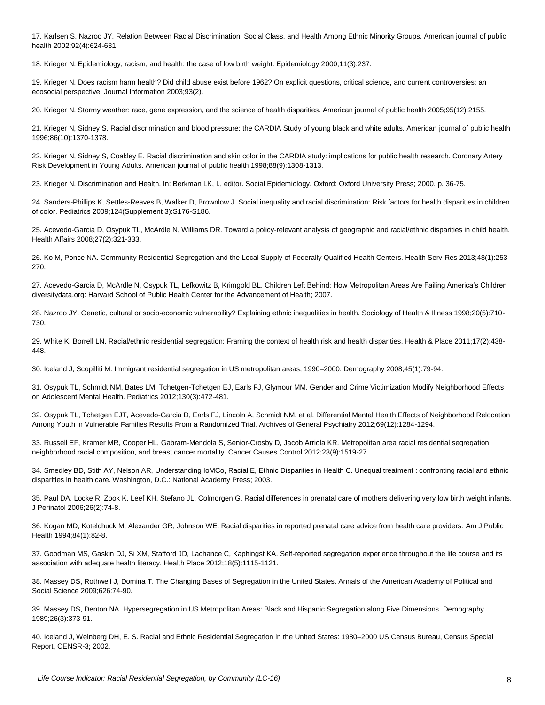17. Karlsen S, Nazroo JY. Relation Between Racial Discrimination, Social Class, and Health Among Ethnic Minority Groups. American journal of public health 2002;92(4):624-631.

18. Krieger N. Epidemiology, racism, and health: the case of low birth weight. Epidemiology 2000;11(3):237.

19. Krieger N. Does racism harm health? Did child abuse exist before 1962? On explicit questions, critical science, and current controversies: an ecosocial perspective. Journal Information 2003;93(2).

20. Krieger N. Stormy weather: race, gene expression, and the science of health disparities. American journal of public health 2005;95(12):2155.

21. Krieger N, Sidney S. Racial discrimination and blood pressure: the CARDIA Study of young black and white adults. American journal of public health 1996;86(10):1370-1378.

22. Krieger N, Sidney S, Coakley E. Racial discrimination and skin color in the CARDIA study: implications for public health research. Coronary Artery Risk Development in Young Adults. American journal of public health 1998;88(9):1308-1313.

23. Krieger N. Discrimination and Health. In: Berkman LK, I., editor. Social Epidemiology. Oxford: Oxford University Press; 2000. p. 36-75.

<span id="page-7-8"></span>24. Sanders-Phillips K, Settles-Reaves B, Walker D, Brownlow J. Social inequality and racial discrimination: Risk factors for health disparities in children of color. Pediatrics 2009;124(Supplement 3):S176-S186.

<span id="page-7-0"></span>25. Acevedo-Garcia D, Osypuk TL, McArdle N, Williams DR. Toward a policy-relevant analysis of geographic and racial/ethnic disparities in child health. Health Affairs 2008;27(2):321-333.

<span id="page-7-5"></span>26. Ko M, Ponce NA. Community Residential Segregation and the Local Supply of Federally Qualified Health Centers. Health Serv Res 2013;48(1):253- 270.

<span id="page-7-1"></span>27. Acevedo-Garcia D, McArdle N, Osypuk TL, Lefkowitz B, Krimgold BL. Children Left Behind: How Metropolitan Areas Are Failing America's Children diversitydata.org: Harvard School of Public Health Center for the Advancement of Health; 2007.

28. Nazroo JY. Genetic, cultural or socio‐economic vulnerability? Explaining ethnic inequalities in health. Sociology of Health & Illness 1998;20(5):710- 730.

<span id="page-7-7"></span>29. White K, Borrell LN. Racial/ethnic residential segregation: Framing the context of health risk and health disparities. Health & Place 2011;17(2):438- 448.

<span id="page-7-4"></span>30. Iceland J, Scopilliti M. Immigrant residential segregation in US metropolitan areas, 1990–2000. Demography 2008;45(1):79-94.

<span id="page-7-9"></span>31. Osypuk TL, Schmidt NM, Bates LM, Tchetgen-Tchetgen EJ, Earls FJ, Glymour MM. Gender and Crime Victimization Modify Neighborhood Effects on Adolescent Mental Health. Pediatrics 2012;130(3):472-481.

<span id="page-7-10"></span>32. Osypuk TL, Tchetgen EJT, Acevedo-Garcia D, Earls FJ, Lincoln A, Schmidt NM, et al. Differential Mental Health Effects of Neighborhood Relocation Among Youth in Vulnerable Families Results From a Randomized Trial. Archives of General Psychiatry 2012;69(12):1284-1294.

<span id="page-7-6"></span>33. Russell EF, Kramer MR, Cooper HL, Gabram-Mendola S, Senior-Crosby D, Jacob Arriola KR. Metropolitan area racial residential segregation, neighborhood racial composition, and breast cancer mortality. Cancer Causes Control 2012;23(9):1519-27.

<span id="page-7-11"></span>34. Smedley BD, Stith AY, Nelson AR, Understanding IoMCo, Racial E, Ethnic Disparities in Health C. Unequal treatment : confronting racial and ethnic disparities in health care. Washington, D.C.: National Academy Press; 2003.

<span id="page-7-12"></span>35. Paul DA, Locke R, Zook K, Leef KH, Stefano JL, Colmorgen G. Racial differences in prenatal care of mothers delivering very low birth weight infants. J Perinatol 2006;26(2):74-8.

<span id="page-7-13"></span>36. Kogan MD, Kotelchuck M, Alexander GR, Johnson WE. Racial disparities in reported prenatal care advice from health care providers. Am J Public Health 1994;84(1):82-8.

37. Goodman MS, Gaskin DJ, Si XM, Stafford JD, Lachance C, Kaphingst KA. Self-reported segregation experience throughout the life course and its association with adequate health literacy. Health Place 2012;18(5):1115-1121.

<span id="page-7-2"></span>38. Massey DS, Rothwell J, Domina T. The Changing Bases of Segregation in the United States. Annals of the American Academy of Political and Social Science 2009;626:74-90.

<span id="page-7-14"></span>39. Massey DS, Denton NA. Hypersegregation in US Metropolitan Areas: Black and Hispanic Segregation along Five Dimensions. Demography 1989;26(3):373-91.

<span id="page-7-3"></span>40. Iceland J, Weinberg DH, E. S. Racial and Ethnic Residential Segregation in the United States: 1980–2000 US Census Bureau, Census Special Report, CENSR-3; 2002.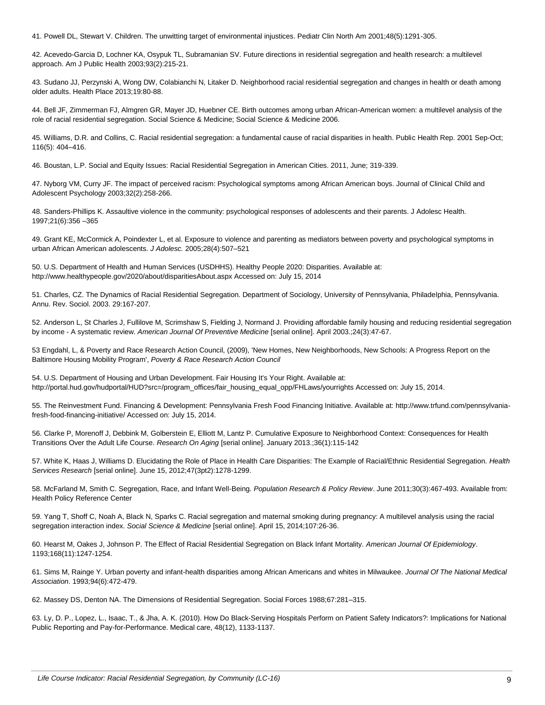41. Powell DL, Stewart V. Children. The unwitting target of environmental injustices. Pediatr Clin North Am 2001;48(5):1291-305.

<span id="page-8-1"></span>42. Acevedo-Garcia D, Lochner KA, Osypuk TL, Subramanian SV. Future directions in residential segregation and health research: a multilevel approach. Am J Public Health 2003;93(2):215-21.

<span id="page-8-0"></span>43. Sudano JJ, Perzynski A, Wong DW, Colabianchi N, Litaker D. Neighborhood racial residential segregation and changes in health or death among older adults. Health Place 2013;19:80-88.

<span id="page-8-2"></span>44. Bell JF, Zimmerman FJ, Almgren GR, Mayer JD, Huebner CE. Birth outcomes among urban African-American women: a multilevel analysis of the role of racial residential segregation. Social Science & Medicine; Social Science & Medicine 2006.

45. Williams, D.R. and Collins, C. Racial residential segregation: a fundamental cause of racial disparities in health. Public Health Rep. 2001 Sep-Oct; 116(5): 404–416.

46. Boustan, L.P. Social and Equity Issues: Racial Residential Segregation in American Cities. 2011, June; 319-339.

47. Nyborg VM, Curry JF. The impact of perceived racism: Psychological symptoms among African American boys. Journal of Clinical Child and Adolescent Psychology 2003;32(2):258-266.

48. Sanders-Phillips K. Assaultive violence in the community: psychological responses of adolescents and their parents. J Adolesc Health. 1997;21(6):356 –365

49. Grant KE, McCormick A, Poindexter L, et al. Exposure to violence and parenting as mediators between poverty and psychological symptoms in urban African American adolescents. *J Adolesc.* 2005;28(4):507–521

50. U.S. Department of Health and Human Services (USDHHS). Healthy People 2020: Disparities. Available at: http://www.healthypeople.gov/2020/about/disparitiesAbout.aspx Accessed on: July 15, 2014

51. Charles, CZ. The Dynamics of Racial Residential Segregation. Department of Sociology, University of Pennsylvania, Philadelphia, Pennsylvania. Annu. Rev. Sociol. 2003. 29:167-207.

52. Anderson L, St Charles J, Fullilove M, Scrimshaw S, Fielding J, Normand J. Providing affordable family housing and reducing residential segregation by income - A systematic review. *American Journal Of Preventive Medicine* [serial online]. April 2003.;24(3):47-67.

53 Engdahl, L, & Poverty and Race Research Action Council, (2009), 'New Homes, New Neighborhoods, New Schools: A Progress Report on the Baltimore Housing Mobility Program', *Poverty & Race Research Action Council*

54. U.S. Department of Housing and Urban Development. Fair Housing It's Your Right. Available at: http://portal.hud.gov/hudportal/HUD?src=/program\_offices/fair\_housing\_equal\_opp/FHLaws/yourrights Accessed on: July 15, 2014.

55. The Reinvestment Fund. Financing & Development: Pennsylvania Fresh Food Financing Initiative. Available at: http://www.trfund.com/pennsylvaniafresh-food-financing-initiative/ Accessed on: July 15, 2014.

56. Clarke P, Morenoff J, Debbink M, Golberstein E, Elliott M, Lantz P. Cumulative Exposure to Neighborhood Context: Consequences for Health Transitions Over the Adult Life Course. *Research On Aging* [serial online]. January 2013.;36(1):115-142

57. White K, Haas J, Williams D. Elucidating the Role of Place in Health Care Disparities: The Example of Racial/Ethnic Residential Segregation. *Health Services Research* [serial online]. June 15, 2012;47(3pt2):1278-1299.

58. McFarland M, Smith C. Segregation, Race, and Infant Well-Being. *Population Research & Policy Review*. June 2011;30(3):467-493. Available from: Health Policy Reference Center

59. Yang T, Shoff C, Noah A, Black N, Sparks C. Racial segregation and maternal smoking during pregnancy: A multilevel analysis using the racial segregation interaction index. *Social Science & Medicine* [serial online]. April 15, 2014;107:26-36.

60. Hearst M, Oakes J, Johnson P. The Effect of Racial Residential Segregation on Black Infant Mortality. *American Journal Of Epidemiology*. 1193;168(11):1247-1254.

61. Sims M, Rainge Y. Urban poverty and infant-health disparities among African Americans and whites in Milwaukee. *Journal Of The National Medical Association*. 1993;94(6):472-479.

62. Massey DS, Denton NA. The Dimensions of Residential Segregation. Social Forces 1988;67:281–315.

63. Ly, D. P., Lopez, L., Isaac, T., & Jha, A. K. (2010). How Do Black-Serving Hospitals Perform on Patient Safety Indicators?: Implications for National Public Reporting and Pay-for-Performance. Medical care, 48(12), 1133-1137.